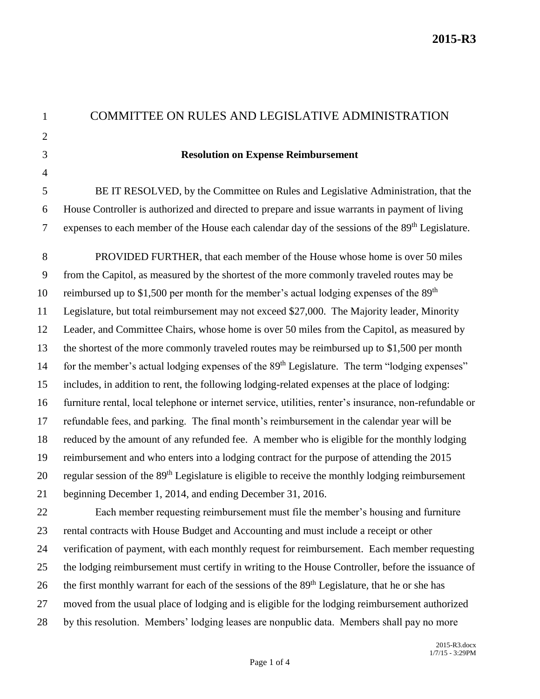| $\mathbf{1}$   | COMMITTEE ON RULES AND LEGISLATIVE ADMINISTRATION                                                            |
|----------------|--------------------------------------------------------------------------------------------------------------|
| $\overline{2}$ |                                                                                                              |
| 3              | <b>Resolution on Expense Reimbursement</b>                                                                   |
| $\overline{4}$ |                                                                                                              |
| 5              | BE IT RESOLVED, by the Committee on Rules and Legislative Administration, that the                           |
| 6              | House Controller is authorized and directed to prepare and issue warrants in payment of living               |
| $\tau$         | expenses to each member of the House each calendar day of the sessions of the 89 <sup>th</sup> Legislature.  |
| 8              | PROVIDED FURTHER, that each member of the House whose home is over 50 miles                                  |
| 9              | from the Capitol, as measured by the shortest of the more commonly traveled routes may be                    |
| 10             | reimbursed up to \$1,500 per month for the member's actual lodging expenses of the 89 <sup>th</sup>          |
| 11             | Legislature, but total reimbursement may not exceed \$27,000. The Majority leader, Minority                  |
| 12             | Leader, and Committee Chairs, whose home is over 50 miles from the Capitol, as measured by                   |
| 13             | the shortest of the more commonly traveled routes may be reimbursed up to \$1,500 per month                  |
| 14             | for the member's actual lodging expenses of the 89 <sup>th</sup> Legislature. The term "lodging expenses"    |
| 15             | includes, in addition to rent, the following lodging-related expenses at the place of lodging:               |
| 16             | furniture rental, local telephone or internet service, utilities, renter's insurance, non-refundable or      |
| 17             | refundable fees, and parking. The final month's reimbursement in the calendar year will be                   |
| 18             | reduced by the amount of any refunded fee. A member who is eligible for the monthly lodging                  |
| 19             | reimbursement and who enters into a lodging contract for the purpose of attending the 2015                   |
| 20             | regular session of the 89 <sup>th</sup> Legislature is eligible to receive the monthly lodging reimbursement |
| 21             | beginning December 1, 2014, and ending December 31, 2016.                                                    |
| 22             | Each member requesting reimbursement must file the member's housing and furniture                            |
| 23             | rental contracts with House Budget and Accounting and must include a receipt or other                        |
| 24             | verification of payment, with each monthly request for reimbursement. Each member requesting                 |
| 25             | the lodging reimbursement must certify in writing to the House Controller, before the issuance of            |
| 26             | the first monthly warrant for each of the sessions of the 89 <sup>th</sup> Legislature, that he or she has   |
| 27             | moved from the usual place of lodging and is eligible for the lodging reimbursement authorized               |
| 28             | by this resolution. Members' lodging leases are nonpublic data. Members shall pay no more                    |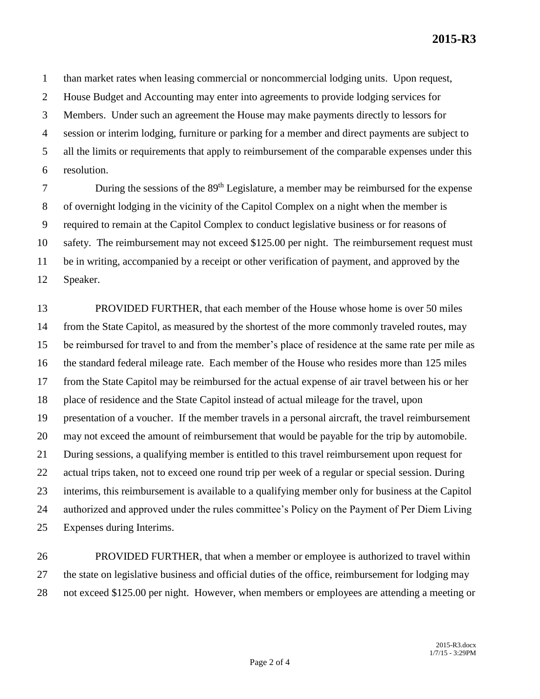**2015-R3**

than market rates when leasing commercial or noncommercial lodging units. Upon request,

House Budget and Accounting may enter into agreements to provide lodging services for

Members. Under such an agreement the House may make payments directly to lessors for

session or interim lodging, furniture or parking for a member and direct payments are subject to

all the limits or requirements that apply to reimbursement of the comparable expenses under this

resolution.

7 During the sessions of the 89<sup>th</sup> Legislature, a member may be reimbursed for the expense of overnight lodging in the vicinity of the Capitol Complex on a night when the member is required to remain at the Capitol Complex to conduct legislative business or for reasons of safety. The reimbursement may not exceed \$125.00 per night. The reimbursement request must be in writing, accompanied by a receipt or other verification of payment, and approved by the Speaker.

 PROVIDED FURTHER, that each member of the House whose home is over 50 miles from the State Capitol, as measured by the shortest of the more commonly traveled routes, may be reimbursed for travel to and from the member's place of residence at the same rate per mile as the standard federal mileage rate. Each member of the House who resides more than 125 miles from the State Capitol may be reimbursed for the actual expense of air travel between his or her place of residence and the State Capitol instead of actual mileage for the travel, upon presentation of a voucher. If the member travels in a personal aircraft, the travel reimbursement may not exceed the amount of reimbursement that would be payable for the trip by automobile. During sessions, a qualifying member is entitled to this travel reimbursement upon request for actual trips taken, not to exceed one round trip per week of a regular or special session. During interims, this reimbursement is available to a qualifying member only for business at the Capitol authorized and approved under the rules committee's Policy on the Payment of Per Diem Living Expenses during Interims.

 PROVIDED FURTHER, that when a member or employee is authorized to travel within the state on legislative business and official duties of the office, reimbursement for lodging may not exceed \$125.00 per night. However, when members or employees are attending a meeting or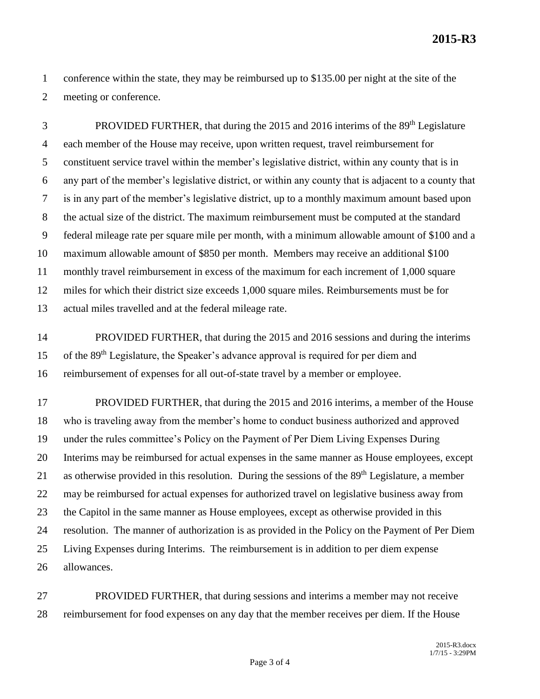**2015-R3**

 conference within the state, they may be reimbursed up to \$135.00 per night at the site of the meeting or conference.

PROVIDED FURTHER, that during the 2015 and 2016 interims of the 89<sup>th</sup> Legislature each member of the House may receive, upon written request, travel reimbursement for constituent service travel within the member's legislative district, within any county that is in any part of the member's legislative district, or within any county that is adjacent to a county that is in any part of the member's legislative district, up to a monthly maximum amount based upon the actual size of the district. The maximum reimbursement must be computed at the standard federal mileage rate per square mile per month, with a minimum allowable amount of \$100 and a maximum allowable amount of \$850 per month. Members may receive an additional \$100 monthly travel reimbursement in excess of the maximum for each increment of 1,000 square miles for which their district size exceeds 1,000 square miles. Reimbursements must be for actual miles travelled and at the federal mileage rate.

 PROVIDED FURTHER, that during the 2015 and 2016 sessions and during the interims 15 of the 89<sup>th</sup> Legislature, the Speaker's advance approval is required for per diem and reimbursement of expenses for all out-of-state travel by a member or employee.

 PROVIDED FURTHER, that during the 2015 and 2016 interims, a member of the House who is traveling away from the member's home to conduct business authorized and approved under the rules committee's Policy on the Payment of Per Diem Living Expenses During Interims may be reimbursed for actual expenses in the same manner as House employees, except 21 as otherwise provided in this resolution. During the sessions of the 89<sup>th</sup> Legislature, a member may be reimbursed for actual expenses for authorized travel on legislative business away from the Capitol in the same manner as House employees, except as otherwise provided in this resolution. The manner of authorization is as provided in the Policy on the Payment of Per Diem Living Expenses during Interims. The reimbursement is in addition to per diem expense allowances.

 PROVIDED FURTHER, that during sessions and interims a member may not receive reimbursement for food expenses on any day that the member receives per diem. If the House